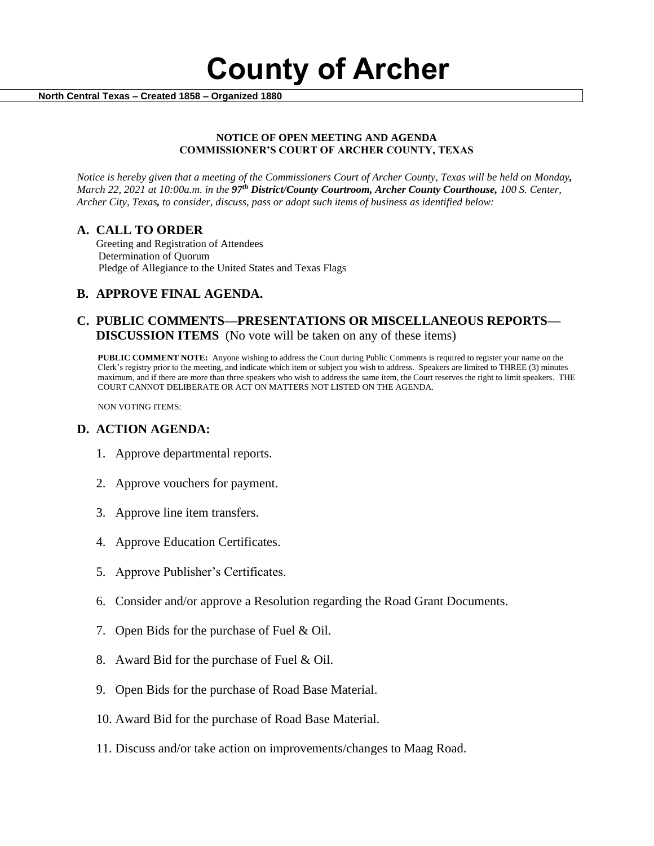**County of Archer** 

 **North Central Texas – Created 1858 – Organized 1880**

#### **NOTICE OF OPEN MEETING AND AGENDA COMMISSIONER'S COURT OF ARCHER COUNTY, TEXAS**

*Notice is hereby given that a meeting of the Commissioners Court of Archer County, Texas will be held on Monday, March 22, 2021 at 10:00a.m. in the 97th District/County Courtroom, Archer County Courthouse, 100 S. Center, Archer City, Texas, to consider, discuss, pass or adopt such items of business as identified below:*

### **A. CALL TO ORDER**

 Greeting and Registration of Attendees Determination of Quorum Pledge of Allegiance to the United States and Texas Flags

### **B. APPROVE FINAL AGENDA.**

### **C. PUBLIC COMMENTS—PRESENTATIONS OR MISCELLANEOUS REPORTS— DISCUSSION ITEMS** (No vote will be taken on any of these items)

**PUBLIC COMMENT NOTE:** Anyone wishing to address the Court during Public Comments is required to register your name on the Clerk's registry prior to the meeting, and indicate which item or subject you wish to address. Speakers are limited to THREE (3) minutes maximum, and if there are more than three speakers who wish to address the same item, the Court reserves the right to limit speakers. THE COURT CANNOT DELIBERATE OR ACT ON MATTERS NOT LISTED ON THE AGENDA.

NON VOTING ITEMS:

### **D. ACTION AGENDA:**

- 1. Approve departmental reports.
- 2. Approve vouchers for payment.
- 3. Approve line item transfers.
- 4. Approve Education Certificates.
- 5. Approve Publisher's Certificates.
- 6. Consider and/or approve a Resolution regarding the Road Grant Documents.
- 7. Open Bids for the purchase of Fuel & Oil.
- 8. Award Bid for the purchase of Fuel & Oil.
- 9. Open Bids for the purchase of Road Base Material.
- 10. Award Bid for the purchase of Road Base Material.
- 11. Discuss and/or take action on improvements/changes to Maag Road.